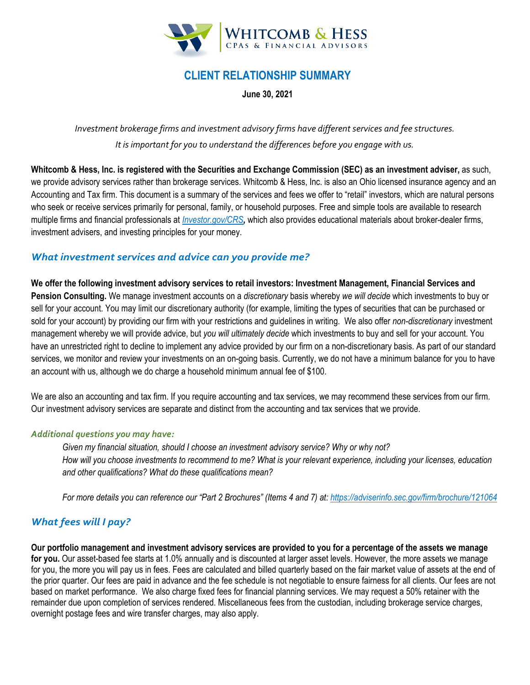

# **CLIENT RELATIONSHIP SUMMARY**

**June 30, 2021**

*Investment brokerage firms and investment advisory firms have different services and fee structures. It is important for you to understand the differences before you engage with us.*

**Whitcomb & Hess, Inc. is registered with the Securities and Exchange Commission (SEC) as an investment adviser,** as such, we provide advisory services rather than brokerage services. Whitcomb & Hess, Inc. is also an Ohio licensed insurance agency and an Accounting and Tax firm. This document is a summary of the services and fees we offer to "retail" investors, which are natural persons who seek or receive services primarily for personal, family, or household purposes. Free and simple tools are available to research multiple firms and financial professionals at *[Investor.gov/CRS](http://www.investor.gov/crs),* which also provides educational materials about broker-dealer firms, investment advisers, and investing principles for your money.

### *What investment services and advice can you provide me?*

**We offer the following investment advisory services to retail investors: Investment Management, Financial Services and Pension Consulting.** We manage investment accounts on a *discretionary* basis whereby *we will decide* which investments to buy or sell for your account. You may limit our discretionary authority (for example, limiting the types of securities that can be purchased or sold for your account) by providing our firm with your restrictions and guidelines in writing. We also offer *non-discretionary* investment management whereby we will provide advice, but *you will ultimately decide* which investments to buy and sell for your account. You have an unrestricted right to decline to implement any advice provided by our firm on a non-discretionary basis. As part of our standard services, we monitor and review your investments on an on-going basis. Currently, we do not have a minimum balance for you to have an account with us, although we do charge a household minimum annual fee of \$100.

We are also an accounting and tax firm. If you require accounting and tax services, we may recommend these services from our firm. Our investment advisory services are separate and distinct from the accounting and tax services that we provide.

#### *Additional questions you may have:*

*Given my financial situation, should I choose an investment advisory service? Why or why not? How will you choose investments to recommend to me? What is your relevant experience, including your licenses, education and other qualifications? What do these qualifications mean?*

*For more details you can reference our "Part 2 Brochures" (Items 4 and 7) at:<https://adviserinfo.sec.gov/firm/brochure/121064>*

### *What fees will I pay?*

**Our portfolio management and investment advisory services are provided to you for a percentage of the assets we manage for you.** Our asset-based fee starts at 1.0% annually and is discounted at larger asset levels. However, the more assets we manage for you, the more you will pay us in fees. Fees are calculated and billed quarterly based on the fair market value of assets at the end of the prior quarter. Our fees are paid in advance and the fee schedule is not negotiable to ensure fairness for all clients. Our fees are not based on market performance. We also charge fixed fees for financial planning services. We may request a 50% retainer with the remainder due upon completion of services rendered. Miscellaneous fees from the custodian, including brokerage service charges, overnight postage fees and wire transfer charges, may also apply.